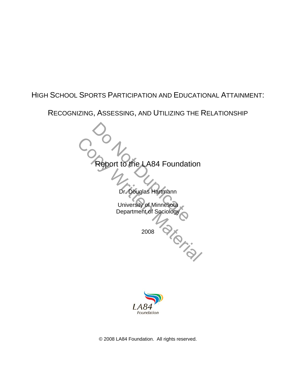## HIGH SCHOOL SPORTS PARTICIPATION AND EDUCATIONAL ATTAINMENT:

RECOGNIZING, ASSESSING, AND UTILIZING THE RELATIONSHIP

Report to the LA84 Foundat Report to the LA84 Foundation<br>
Dr. bouglas Hartmann<br>
University of Minnesota<br>
Department of Sociology<br>
2008 Report to the LA84 Foundation Dr. Douglas Hartmann University of Minnesota Department of Sociology 2008



© 2008 LA84 Foundation. All rights reserved.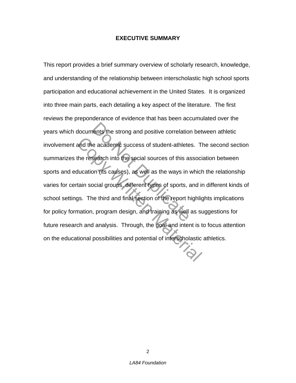## **EXECUTIVE SUMMARY**

Next the strong and positive correlation<br>
e academic success of student-athlete<br>
Search into the social sources of this as<br>
on (its causes), as well as the ways in<br>
pocial groups, different types of sports, a<br>
ne third and and the academic success of student-athletes. The research into the social sources of this associducation (its causes), as well as the ways in which tain social groups, different types of sports, and in gys. The third and This report provides a brief summary overview of scholarly research, knowledge, and understanding of the relationship between interscholastic high school sports participation and educational achievement in the United States. It is organized into three main parts, each detailing a key aspect of the literature. The first reviews the preponderance of evidence that has been accumulated over the years which documents the strong and positive correlation between athletic involvement and the academic success of student-athletes. The second section summarizes the research into the social sources of this association between sports and education (its causes), as well as the ways in which the relationship varies for certain social groups, different types of sports, and in different kinds of school settings. The third and final section of the report highlights implications for policy formation, program design, and training as well as suggestions for future research and analysis. Through, the goal and intent is to focus attention on the educational possibilities and potential of interscholastic athletics.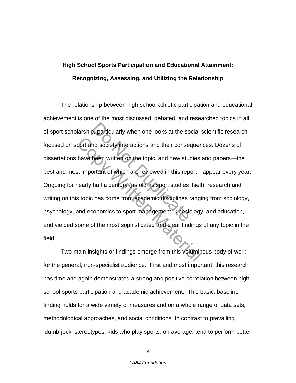# **High School Sports Participation and Educational Attainment: Recognizing, Assessing, and Utilizing the Relationship**

D, particularly when one looks at the some of society interactions and their conserved in the society written on the topic, and new student of which are reviewed in this rep<br>half a century (as old as sport studies that a c port and society interactions and their consequen<br>have been written on the topic, and new studies is<br>st important of which are reviewed in this report—<br>nearly half a century (as old as sport studies itself<br>s topic has come The relationship between high school athletic participation and educational achievement is one of the most discussed, debated, and researched topics in all of sport scholarship, particularly when one looks at the social scientific research focused on sport and society interactions and their consequences. Dozens of dissertations have been written on the topic, and new studies and papers—the best and most important of which are reviewed in this report—appear every year. Ongoing for nearly half a century (as old as sport studies itself), research and writing on this topic has come from academic disciplines ranging from sociology, psychology, and economics to sport management, kinesiology, and education, and yielded some of the most sophisticated and clear findings of any topic in the field.

Two main insights or findings emerge from this voluminous body of work for the general, non-specialist audience. First and most important, this research has time and again demonstrated a strong and positive correlation between high school sports participation and academic achievement. This basic, baseline finding holds for a wide variety of measures and on a whole range of data sets, methodological approaches, and social conditions. In contrast to prevailing 'dumb-jock' stereotypes, kids who play sports, on average, tend to perform better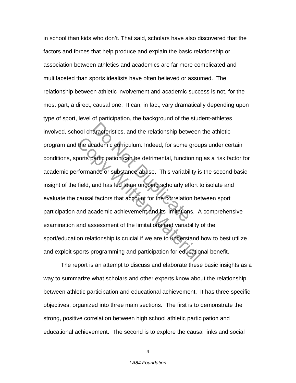aracteristics, and the relationship betwood and the relationship betwood and the detrimental, function of the detrimental, function of the determined in the correlation of the limitation cademic achievement and its limitat the academic curriculum. Indeed, for some group<br>ports participation can be detrimental, functioning<br>frommance or substance abuse. This variability is<br>field, and has led to an ongoing scholarly effort to<br>causal factors that in school than kids who don't. That said, scholars have also discovered that the factors and forces that help produce and explain the basic relationship or association between athletics and academics are far more complicated and multifaceted than sports idealists have often believed or assumed. The relationship between athletic involvement and academic success is not, for the most part, a direct, causal one. It can, in fact, vary dramatically depending upon type of sport, level of participation, the background of the student-athletes involved, school characteristics, and the relationship between the athletic program and the academic curriculum. Indeed, for some groups under certain conditions, sports participation can be detrimental, functioning as a risk factor for academic performance or substance abuse. This variability is the second basic insight of the field, and has led to an ongoing scholarly effort to isolate and evaluate the causal factors that account for the correlation between sport participation and academic achievement and its limitations. A comprehensive examination and assessment of the limitations and variability of the sport/education relationship is crucial if we are to understand how to best utilize and exploit sports programming and participation for educational benefit.

The report is an attempt to discuss and elaborate these basic insights as a way to summarize what scholars and other experts know about the relationship between athletic participation and educational achievement. It has three specific objectives, organized into three main sections. The first is to demonstrate the strong, positive correlation between high school athletic participation and educational achievement. The second is to explore the causal links and social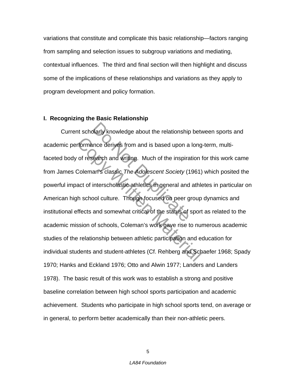variations that constitute and complicate this basic relationship—factors ranging from sampling and selection issues to subgroup variations and mediating, contextual influences. The third and final section will then highlight and discuss some of the implications of these relationships and variations as they apply to program development and policy formation.

## **I. Recognizing the Basic Relationship**

Darly knowledge about the relationship<br>
ince derives from and is based upon a<br>
earch and writing. Much of the inspira<br>
an's classic *The Adolescent Society* (1<br>
interscholastic athletics in general and<br>
bol culture. Though rformance derives from and is based upon a long<br>of research and writing. Much of the inspiration is<br>Coleman's classic The Adolescent Society (1961)<br>act of interscholastic athletics in general and athle<br>h school culture. Th Current scholarly knowledge about the relationship between sports and academic performance derives from and is based upon a long-term, multifaceted body of research and writing. Much of the inspiration for this work came from James Coleman's classic *The Adolescent Society* (1961) which posited the powerful impact of interscholastic athletics in general and athletes in particular on American high school culture. Though focused on peer group dynamics and institutional effects and somewhat critical of the status of sport as related to the academic mission of schools, Coleman's work gave rise to numerous academic studies of the relationship between athletic participation and education for individual students and student-athletes (Cf. Rehberg and Schaefer 1968; Spady 1970; Hanks and Eckland 1976; Otto and Alwin 1977; Landers and Landers 1978). The basic result of this work was to establish a strong and positive baseline correlation between high school sports participation and academic achievement. Students who participate in high school sports tend, on average or in general, to perform better academically than their non-athletic peers.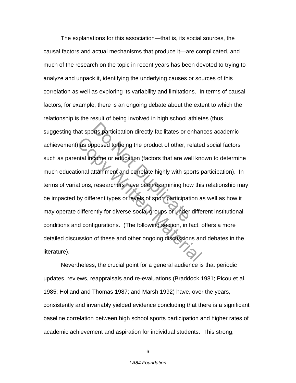Duts participation directly facilitates or exposed to being the product of other, recome or education (factors that are we<br>come or education (factors that are we<br>attainment and correlate highly with spectral researchers ha as opposed to being the product of other, related that all income or education (factors that are well know intional attainment and correlate highly with sports pations, researchers have been examining how this by different The explanations for this association—that is, its social sources, the causal factors and actual mechanisms that produce it—are complicated, and much of the research on the topic in recent years has been devoted to trying to analyze and unpack it, identifying the underlying causes or sources of this correlation as well as exploring its variability and limitations. In terms of causal factors, for example, there is an ongoing debate about the extent to which the relationship is the result of being involved in high school athletes (thus suggesting that sports participation directly facilitates or enhances academic achievement) as opposed to being the product of other, related social factors such as parental income or education (factors that are well known to determine much educational attainment and correlate highly with sports participation). In terms of variations, researchers have been examining how this relationship may be impacted by different types or levels of sport participation as well as how it may operate differently for diverse social groups or under different institutional conditions and configurations. (The following section, in fact, offers a more detailed discussion of these and other ongoing discussions and debates in the literature).

Nevertheless, the crucial point for a general audience is that periodic updates, reviews, reappraisals and re-evaluations (Braddock 1981; Picou et al. 1985; Holland and Thomas 1987; and Marsh 1992) have, over the years, consistently and invariably yielded evidence concluding that there is a significant baseline correlation between high school sports participation and higher rates of academic achievement and aspiration for individual students. This strong,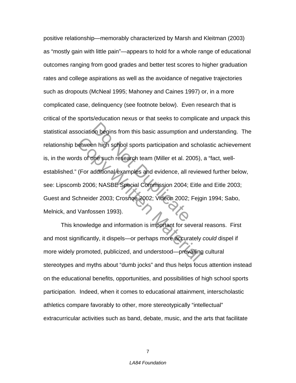on begins from this basic assumption and<br>en high school sports participation and<br>one such research team (Miller et al. 20<br>additional examples and evidence, all r<br>6; NASBE Special Commission 2004;<br>ler 2003; Crosnoe 2002; Vi Netween high school sports participation and schools of one such research team (Miller et al. 2005),<br>Copyright (Miller et al. 2005),<br>Consider Material Commission 2004; Eitle<br>chneider 2003; Crosnoe 2002; Videon 2002; Fejg<br>V positive relationship—memorably characterized by Marsh and Kleitman (2003) as "mostly gain with little pain"—appears to hold for a whole range of educational outcomes ranging from good grades and better test scores to higher graduation rates and college aspirations as well as the avoidance of negative trajectories such as dropouts (McNeal 1995; Mahoney and Caines 1997) or, in a more complicated case, delinquency (see footnote below). Even research that is critical of the sports/education nexus or that seeks to complicate and unpack this statistical association begins from this basic assumption and understanding. The relationship between high school sports participation and scholastic achievement is, in the words of one such research team (Miller et al. 2005), a "fact, wellestablished." (For additional examples and evidence, all reviewed further below, see: Lipscomb 2006; NASBE Special Commission 2004; Eitle and Eitle 2003; Guest and Schneider 2003; Crosnoe 2002; Videon 2002; Fejgin 1994; Sabo, Melnick, and Vanfossen 1993).

This knowledge and information is important for several reasons. First and most significantly, it dispels—or perhaps more accurately *could* dispel if more widely promoted, publicized, and understood—prevailing cultural stereotypes and myths about "dumb jocks" and thus helps focus attention instead on the educational benefits, opportunities, and possibilities of high school sports participation. Indeed, when it comes to educational attainment, interscholastic athletics compare favorably to other, more stereotypically "intellectual" extracurricular activities such as band, debate, music, and the arts that facilitate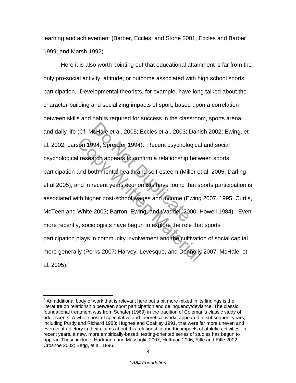learning and achievement (Barber, Eccles, and Stone 2001; Eccles and Barber 1999; and Marsh 1992).

IcHale et al. 2005; Eccles et al. 2003; ICHale et al. 2005; Eccles et al. 2003; ICHALE 1994). Recent psychology<br>
Such appears to confirm a relationship<br>
Do Noth mental health and self-esteem (Mill<br>
Discrement years economi Son 1994; Spreitzer 1994). Recent psychological<br>
I research appears to confirm a relationship between<br>
and both mental health and self-esteem (Miller et<br>
and in recent years economists have found that spith<br>
higher post-sc Here it is also worth pointing out that educational attainment is far from the only pro-social activity, attitude, or outcome associated with high school sports participation. Developmental theorists, for example, have long talked about the character-building and socializing impacts of sport, based upon a correlation between skills and habits required for success in the classroom, sports arena, and daily life (Cf. McHale et al. 2005; Eccles et al. 2003; Danish 2002; Ewing, et al. 2002; Larson 1994; Spreitzer 1994). Recent psychological and social psychological research appears to confirm a relationship between sports participation and both mental health and self-esteem (Miller et al. 2005; Darling et al 2005), and in recent years economists have found that sports participation is associated with higher post-school wages and income (Ewing 2007, 1995; Curtis, McTeen and White 2003; Barron, Ewing, and Waddell 2000; Howell 1984). Even more recently, sociologists have begun to explore the role that sports participation plays in community involvement and the cultivation of social capital more generally (Perks 2007; Harvey, Levesque, and Donnolly 2007; McHale, et al. 2005).<sup>1</sup>

 $\overline{a}$ 

 $1$  An additional body of work that is relevant here but a bit more mixed in its findings is the literature on relationship between sport participation and delinquency/deviance. The classic, foundational treatment was from Schafer (1969) in the tradition of Coleman's classic study of adolescents. A whole host of speculative and theoretical works appeared in subsequent years, including Purdy and Richard 1983; Hughes and Coakley 1991, that were far more uneven and even contradictory in their claims about this relationship and the impacts of athletic activities. In recent years, a new, more empirically-based, testing-oriented series of studies has begun to appear. These include: Hartmann and Massoglia 2007; Hoffman 2006; Eitle and Eitle 2002; Crosnoe 2002; Begg, et al. 1996.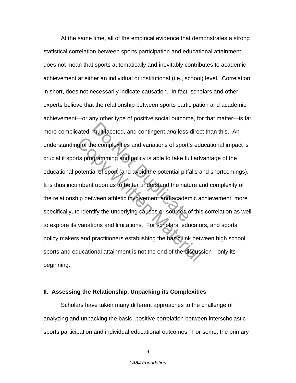multifaceted, and contingent *and* less<br>ne complexities and variations of sport'<br>gramming and policy is able to take ful<br>al of sport (and avoid the potential pitfa<br>t upon us to better understand the nature ween athletic in g of the complexities and variations of sport's eduts programming and policy is able to take full advotential of sport (and avoid the potential pitfalls a mbent upon us to better understand the nature and ip between athlet At the same time, all of the empirical evidence that demonstrates a strong statistical correlation between sports participation and educational attainment does not mean that sports automatically and inevitably contributes to academic achievement at either an individual or institutional (i.e., school) level. Correlation, in short, does not necessarily indicate causation. In fact, scholars and other experts believe that the relationship between sports participation and academic achievement—or any other type of positive social outcome, for that matter—is far more complicated, multifaceted, and contingent *and* less direct than this. An understanding of the complexities and variations of sport's educational impact is crucial if sports programming and policy is able to take full advantage of the educational potential of sport (and avoid the potential pitfalls and shortcomings). It is thus incumbent upon us to better understand the nature and complexity of the relationship between athletic involvement and academic achievement; more specifically, to identify the underlying causes or sources of this correlation as well to explore its variations and limitations. For scholars, educators, and sports policy makers and practitioners establishing the basic link between high school sports and educational attainment is not the end of the discussion—only its beginning.

## **II. Assessing the Relationship, Unpacking its Complexities**

Scholars have taken many different approaches to the challenge of analyzing and unpacking the basic, positive correlation between interscholastic sports participation and individual educational outcomes. For some, the primary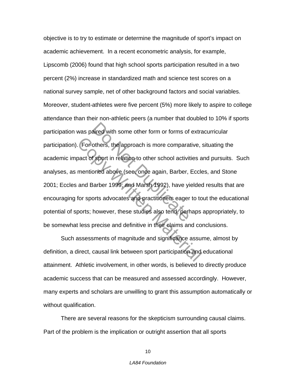aired with some other form or forms of<br>others, the approach is more compara<br>f sport in relation to other school activit<br>oned above (see, once again, Barber,<br>Barber 1999; and Marsh 1992), have yi<br>orts advocates and practiti Exercise and persons is more comparative,<br>and Copyring in the set of sport in relation to other school activities a<br>mentioned above (see, once again, Barber, Eccle<br>and Barber 1999; and Marsh 1992), have yielded<br>for sports objective is to try to estimate or determine the magnitude of sport's impact on academic achievement. In a recent econometric analysis, for example, Lipscomb (2006) found that high school sports participation resulted in a two percent (2%) increase in standardized math and science test scores on a national survey sample, net of other background factors and social variables. Moreover, student-athletes were five percent (5%) more likely to aspire to college attendance than their non-athletic peers (a number that doubled to 10% if sports participation was paired with some other form or forms of extracurricular participation). For others, the approach is more comparative, situating the academic impact of sport in relation to other school activities and pursuits. Such analyses, as mentioned above (see, once again, Barber, Eccles, and Stone 2001; Eccles and Barber 1999; and Marsh 1992), have yielded results that are encouraging for sports advocates and practitioners eager to tout the educational potential of sports; however, these studies also tend, perhaps appropriately, to be somewhat less precise and definitive in their claims and conclusions.

Such assessments of magnitude and significance assume, almost by definition, a direct, causal link between sport participation and educational attainment. Athletic involvement, in other words, is believed to directly produce academic success that can be measured and assessed accordingly. However, many experts and scholars are unwilling to grant this assumption automatically or without qualification.

There are several reasons for the skepticism surrounding causal claims. Part of the problem is the implication or outright assertion that all sports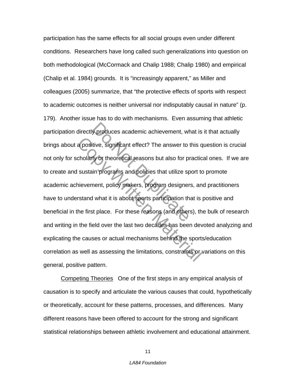y produces academic achievement, where<br>tive, significant effect? The answer to<br>ty or theoretical reasons but also for pi<br>in programs and policies that utilize sp<br>nent, policy makers, program designer<br>I what it is about spo a positive, significant effect? The answer to this c<br>cholarly or theoretical reasons but also for practic<br>sustain programs and policies that utilize sport to<br>nievement, policy makers, program designers, an<br>rstand what it i participation has the same effects for all social groups even under different conditions. Researchers have long called such generalizations into question on both methodological (McCormack and Chalip 1988; Chalip 1980) and empirical (Chalip et al. 1984) grounds. It is "increasingly apparent," as Miller and colleagues (2005) summarize, that "the protective effects of sports with respect to academic outcomes is neither universal nor indisputably causal in nature" (p. 179). Another issue has to do with mechanisms. Even assuming that athletic participation directly produces academic achievement, what is it that actually brings about a positive, significant effect? The answer to this question is crucial not only for scholarly or theoretical reasons but also for practical ones. If we are to create and sustain programs and policies that utilize sport to promote academic achievement, policy makers, program designers, and practitioners have to understand what it is about sports participation that is positive and beneficial in the first place. For these reasons (and others), the bulk of research and writing in the field over the last two decades has been devoted analyzing and explicating the causes or actual mechanisms behind the sports/education correlation as well as assessing the limitations, constraints or variations on this general, positive pattern.

Competing Theories One of the first steps in any empirical analysis of causation is to specify and articulate the various causes that could, hypothetically or theoretically, account for these patterns, processes, and differences. Many different reasons have been offered to account for the strong and significant statistical relationships between athletic involvement and educational attainment.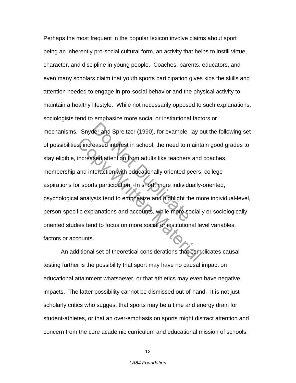der and Spreitzer (1990), for example,<br>eased interest in school, the need to m<br>sed attention from adults like teachers<br>teraction with educationally oriented p<br>ts participation. In short, more individues<br>ts tend to emphasiz San Indianse Contract in school, the need to maint<br>
increased attention from adults like teachers and<br>
and interaction with educationally oriented peers,<br>
In short, more individually<br>
I analysts tend to emphasize and highl Perhaps the most frequent in the popular lexicon involve claims about sport being an inherently pro-social cultural form, an activity that helps to instill virtue, character, and discipline in young people. Coaches, parents, educators, and even many scholars claim that youth sports participation gives kids the skills and attention needed to engage in pro-social behavior and the physical activity to maintain a healthy lifestyle. While not necessarily opposed to such explanations, sociologists tend to emphasize more social or institutional factors or mechanisms. Snyder and Spreitzer (1990), for example, lay out the following set of possibilities: increased interest in school, the need to maintain good grades to stay eligible, increased attention from adults like teachers and coaches, membership and interaction with educationally oriented peers, college aspirations for sports participation. In short, more individually-oriented, psychological analysts tend to emphasize and highlight the more individual-level, person-specific explanations and accounts, while more socially or sociologically oriented studies tend to focus on more social or institutional level variables, factors or accounts.

An additional set of theoretical considerations that complicates causal testing further is the possibility that sport may have no causal impact on educational attainment whatsoever, or that athletics may even have negative impacts. The latter possibility cannot be dismissed out-of-hand. It is not just scholarly critics who suggest that sports may be a time and energy drain for student-athletes, or that an over-emphasis on sports might distract attention and concern from the core academic curriculum and educational mission of schools.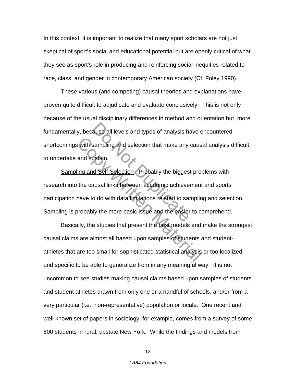In this context, it is important to realize that many sport scholars are not just skeptical of sport's social and educational potential but are openly critical of what they see as sport's role in producing and reinforcing social inequities related to race, class, and gender in contemporary American society (Cf. Foley 1990).

These various (and competing) causal theories and explanations have proven quite difficult to adjudicate and evaluate conclusively. This is not only because of the usual disciplinary differences in method and orientation but, more fundamentally, because all levels and types of analysis have encountered shortcomings with sampling and selection that make any causal analysis difficult to undertake and sustain.

ause all levels and types of analysis has<br>
sampling and selection that make any<br>
ustain.<br>
In Self-Selection Probably the bigges<br>
ausal links between academic achieve<br>
o do with data limitations related to sai<br>
In the more Writh sampling and selection that make any caus<br>and sustain.<br>Ing and Self-Selection Probably the biggest prof<br>the causal links between academic achievement<br>have to do with data limitations related to samplin<br>probably the m Sampling and Self-Selection Probably the biggest problems with research into the causal links between academic achievement and sports participation have to do with data limitations related to sampling and selection. Sampling is probably the more basic issue and the easier to comprehend.

Basically, the studies that present the best models and make the strongest causal claims are almost all based upon samples of students and studentathletes that are too small for sophisticated statistical analysis or too localized and specific to be able to generalize from in any meaningful way. It is not uncommon to see studies making causal claims based upon samples of students and student athletes drawn from only one or a handful of schools, and/or from a very particular (i.e., non-representative) population or locale. One recent and well-known set of papers in sociology, for example, comes from a survey of some 600 students in rural, upstate New York. While the findings and models from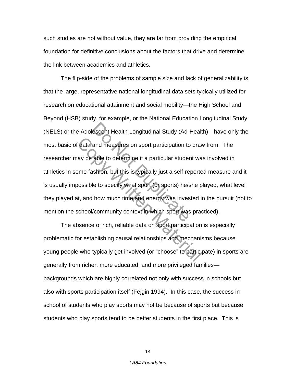such studies are not without value, they are far from providing the empirical foundation for definitive conclusions about the factors that drive and determine the link between academics and athletics.

escent Health Longitudinal Study (Ad-<br>and measures on sport participation to<br>able to determine if a particular studer<br>ishion, but this is typically just a self-re<br>le to specify what sport (or sports) he/s<br>how much time and data and measures on sport participation to draw<br>ay be able to determine if a particular student was<br>ome fashion, but this is typically just a self-reporte<br>oossible to specify what sport (or sports) he/she p<br>at, and how mu The flip-side of the problems of sample size and lack of generalizability is that the large, representative national longitudinal data sets typically utilized for research on educational attainment and social mobility—the High School and Beyond (HSB) study, for example, or the National Education Longitudinal Study (NELS) or the Adolescent Health Longitudinal Study (Ad-Health)—have only the most basic of data and measures on sport participation to draw from. The researcher may be able to determine if a particular student was involved in athletics in some fashion, but this is typically just a self-reported measure and it is usually impossible to specify what sport (or sports) he/she played, what level they played at, and how much time and energy was invested in the pursuit (not to mention the school/community context in which sport was practiced).

The absence of rich, reliable data on sport participation is especially problematic for establishing causal relationships and mechanisms because young people who typically get involved (or "choose" to participate) in sports are generally from richer, more educated, and more privileged families backgrounds which are highly correlated not only with success in schools but also with sports participation itself (Fejgin 1994). In this case, the success in school of students who play sports may not be because of sports but because students who play sports tend to be better students in the first place. This is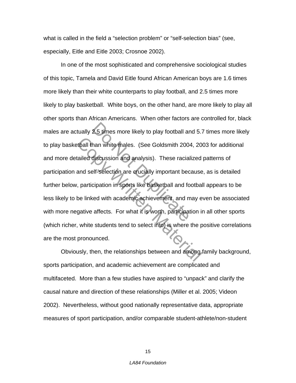what is called in the field a "selection problem" or "self-selection bias" (see, especially, Eitle and Eitle 2003; Crosnoe 2002).

2.5 times more likely to play football are<br>han white males. (See Goldsmith 200-<br>discussion and analysis). These racial<br>elf-selection are crucially important bec<br>cipation in sports like basketball and for<br>ed with academic a thall than white males. (See Goldsmith 2004, 20<br>
called discussion and analysis). These racialized<br>
and self-selection are crucially important because<br>
, participation in sports like basketball and footba<br>
be linked with a In one of the most sophisticated and comprehensive sociological studies of this topic, Tamela and David Eitle found African American boys are 1.6 times more likely than their white counterparts to play football, and 2.5 times more likely to play basketball. White boys, on the other hand, are more likely to play all other sports than African Americans. When other factors are controlled for, black males are actually 2.5 times more likely to play football and 5.7 times more likely to play basketball than white males. (See Goldsmith 2004, 2003 for additional and more detailed discussion and analysis). These racialized patterns of participation and self-selection are crucially important because, as is detailed further below, participation in sports like basketball and football appears to be less likely to be linked with academic achievement, and may even be associated with more negative affects. For what it is worth, participation in all other sports (which richer, white students tend to select into) is where the positive correlations are the most pronounced.

Obviously, then, the relationships between and among family background, sports participation, and academic achievement are complicated and multifaceted. More than a few studies have aspired to "unpack" and clarify the causal nature and direction of these relationships (Miller et al. 2005; Videon 2002). Nevertheless, without good nationally representative data, appropriate measures of sport participation, and/or comparable student-athlete/non-student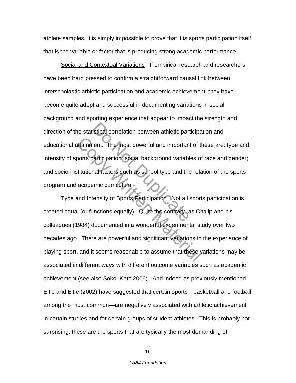athlete samples, it is simply impossible to prove that it is sports participation itself that is the variable or factor that is producing strong academic performance.

Istical correlation between athletic part<br>
Net Chemical Control and important<br>
Denticipation social background variable<br>
and factors such as school type and the<br>
Denticipation Mot all<br>
Unctions equally). Quite the contrary Social and Contextual Variations If empirical research and researchers have been hard pressed to confirm a straightforward causal link between interscholastic athletic participation and academic achievement, they have become quite adept and successful in documenting variations in social background and sporting experience that appear to impact the strength and direction of the statistical correlation between athletic participation and educational attainment. The most powerful and important of these are: type and intensity of sports participation; social background variables of race and gender; and socio-institutional factors such as school type and the relation of the sports program and academic curriculum.

International The most powerful and important of the most powerful and important of the contrables of titutional factors such as school type and the relained academic curriculum.<br>
And Intensity of Sports Participation Not Type and Intensity of Sports Participation Not all sports participation is created equal (or functions equally). Quite the contrary, as Chalip and his colleagues (1984) documented in a wonderful experimental study over two decades ago. There are powerful and significant variations in the experience of playing sport, and it seems reasonable to assume that these variations may be associated in different ways with different outcome variables such as academic achievement (see also Sokol-Katz 2006). And indeed as previously mentioned Eitle and Eitle (2002) have suggested that certain sports—basketball and football among the most common—are negatively associated with athletic achievement in certain studies and for certain groups of student-athletes. This is probably not surprising: these are the sports that are typically the most demanding of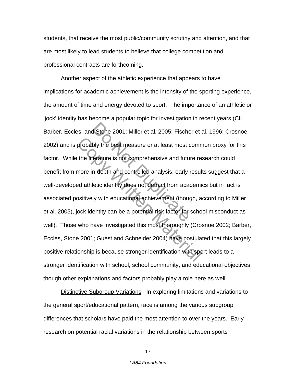students, that receive the most public/community scrutiny and attention, and that are most likely to lead students to believe that college competition and professional contracts are forthcoming.

Stone 2001; Miller et al. 2005; Fische<br>bly the best measure or at least most of<br>erature is not comprehensive and future<br>in depth and controlled analysis, early<br>letic identity does not detract from acad<br>ly with educational probably the best measure or at least most comm<br>the literature is not comprehensive and future re-<br>more in-depth and controlled analysis, early result-<br>ad athletic identity does not detract from academic<br>ositively with edu Another aspect of the athletic experience that appears to have implications for academic achievement is the intensity of the sporting experience, the amount of time and energy devoted to sport. The importance of an athletic or 'jock' identity has become a popular topic for investigation in recent years (Cf. Barber, Eccles, and Stone 2001; Miller et al. 2005; Fischer et al. 1996; Crosnoe 2002) and is probably the best measure or at least most common proxy for this factor. While the literature is not comprehensive and future research could benefit from more in-depth and controlled analysis, early results suggest that a well-developed athletic identity does not detract from academics but in fact is associated positively with educational achievement (though, according to Miller et al. 2005), jock identity can be a potential risk factor for school misconduct as well). Those who have investigated this most thoroughly (Crosnoe 2002; Barber, Eccles, Stone 2001; Guest and Schneider 2004) have postulated that this largely positive relationship is because stronger identification with sport leads to a stronger identification with school, school community, and educational objectives though other explanations and factors probably play a role here as well.

Distinctive Subgroup Variations In exploring limitations and variations to the general sport/educational pattern, race is among the various subgroup differences that scholars have paid the most attention to over the years. Early research on potential racial variations in the relationship between sports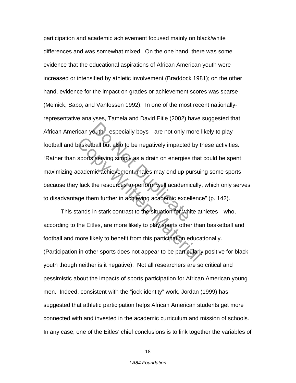outh especially boys—are not only m<br>ball but also to be negatively impacted<br>serving simply as a drain on energies<br>nic achievement, males may end up put<br>the resources to perform well academic<br>exce in stark contrast to the s Material but also to be negatively impacted by the sports serving simply as a drain on energies that cademic achievement, males may end up pursuit lack the resources to perform well academically, uge them further in achiev participation and academic achievement focused mainly on black/white differences and was somewhat mixed. On the one hand, there was some evidence that the educational aspirations of African American youth were increased or intensified by athletic involvement (Braddock 1981); on the other hand, evidence for the impact on grades or achievement scores was sparse (Melnick, Sabo, and Vanfossen 1992). In one of the most recent nationallyrepresentative analyses, Tamela and David Eitle (2002) have suggested that African American youth—especially boys—are not only more likely to play football and basketball but also to be negatively impacted by these activities. "Rather than sports serving simply as a drain on energies that could be spent maximizing academic achievement, males may end up pursuing some sports because they lack the resources to perform well academically, which only serves to disadvantage them further in achieving academic excellence" (p. 142).

This stands in stark contrast to the situation for white athletes—who, according to the Eitles, are more likely to play sports other than basketball and football and more likely to benefit from this participation educationally. (Participation in other sports does not appear to be particularly positive for black youth though neither is it negative). Not all researchers are so critical and pessimistic about the impacts of sports participation for African American young men. Indeed, consistent with the "jock identity" work, Jordan (1999) has suggested that athletic participation helps African American students get more connected with and invested in the academic curriculum and mission of schools. In any case, one of the Eitles' chief conclusions is to link together the variables of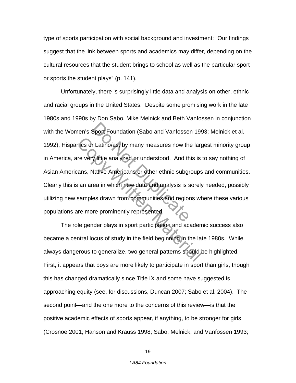type of sports participation with social background and investment: "Our findings suggest that the link between sports and academics may differ, depending on the cultural resources that the student brings to school as well as the particular sport or sports the student plays" (p. 141).

Sport Foundation (Sabo and Vanfosser<br>
r Latino/as, by many measures now the<br>
y little analyzed or understood. And the<br>
Variance Americans or other ethnic subgr<br>
rea in which new data and analysis is s<br>
es drawn from commun mics or Latino/as, by many measures now the large very little analyzed or understood. And this is ans, Native Americans or other ethnic subgroups an area in which new data and analysis is sorely samples drawn from communit Unfortunately, there is surprisingly little data and analysis on other, ethnic and racial groups in the United States. Despite some promising work in the late 1980s and 1990s by Don Sabo, Mike Melnick and Beth Vanfossen in conjunction with the Women's Sport Foundation (Sabo and Vanfossen 1993; Melnick et al. 1992), Hispanics or Latino/as, by many measures now the largest minority group in America, are very little analyzed or understood. And this is to say nothing of Asian Americans, Native Americans or other ethnic subgroups and communities. Clearly this is an area in which new data and analysis is sorely needed, possibly utilizing new samples drawn from communities and regions where these various populations are more prominently represented.

The role gender plays in sport participation and academic success also became a central locus of study in the field beginning in the late 1980s. While always dangerous to generalize, two general patterns should be highlighted. First, it appears that boys are more likely to participate in sport than girls, though this has changed dramatically since Title IX and some have suggested is approaching equity (see, for discussions, Duncan 2007; Sabo et al. 2004). The second point—and the one more to the concerns of this review—is that the positive academic effects of sports appear, if anything, to be stronger for girls (Crosnoe 2001; Hanson and Krauss 1998; Sabo, Melnick, and Vanfossen 1993;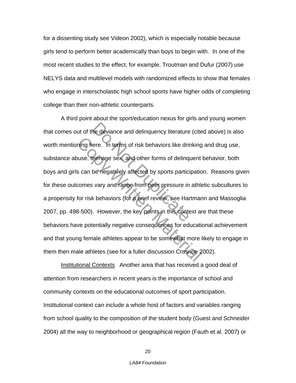for a dissenting study see Videon 2002), which is especially notable because girls tend to perform better academically than boys to begin with. In one of the most recent studies to the effect, for example, Troutman and Dufur (2007) use NELYS data and multilevel models with randomized effects to show that females who engage in interscholastic high school sports have higher odds of completing college than their non-athletic counterparts.

The deviance and delinquency literature<br>
ere. In terms of risk behaviors like drine<br>
eenage sex and other forms of delinq<br>
be negatively affected by sports partici<br>
Survey and range from peer pressure in<br>
the behaviors (fo The Terms of risk behaviors like drinking<br>
use, deenage sex, and other forms of delinquent<br>
s can be negatively affected by sports participatio<br>
comes vary and range from peer pressure in athle<br>
for risk behaviors (for a p A third point about the sport/education nexus for girls and young women that comes out of the deviance and delinquency literature (cited above) is also worth mentioning here. In terms of risk behaviors like drinking and drug use, substance abuse, teenage sex, and other forms of delinquent behavior, both boys and girls can be negatively affected by sports participation. Reasons given for these outcomes vary and range from peer pressure in athletic subcultures to a propensity for risk behaviors (for a brief review, see Hartmann and Massoglia 2007, pp. 498-500). However, the key points in this context are that these behaviors have potentially negative consequences for educational achievement and that young female athletes appear to be somewhat more likely to engage in them then male athletes (see for a fuller discussion Crosnoe 2002).

Institutional ContextsAnother area that has received a good deal of attention from researchers in recent years is the importance of school and community contexts on the educational outcomes of sport participation. Institutional context can include a whole host of factors and variables ranging from school quality to the composition of the student body (Guest and Schneider 2004) all the way to neighborhood or geographical region (Fauth et al. 2007) or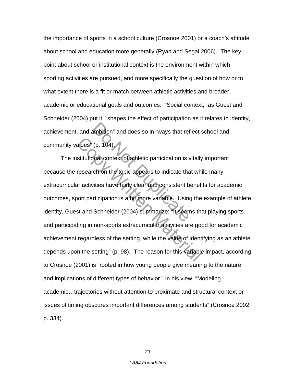the importance of sports in a school culture (Crosnoe 2001) or a coach's attitude about school and education more generally (Ryan and Segal 2006). The key point about school or institutional context is the environment within which sporting activities are pursued, and more specifically the question of how or to what extent there is a fit or match between athletic activities and broader academic or educational goals and outcomes. "Social context," as Guest and Schneider (2004) put it, "shapes the effect of participation as it relates to identity, achievement, and ambition" and does so in "ways that reflect school and community values" (p. 104).

ambition" and does so in "ways that ref<br>
(p. 104).<br>
Onat context of athletic participation is vector on the topic appears to indicate the<br>
vities have fairly clear and consistent b<br>
unticipation is a bit more variable. Usi alues' (p. 104).<br>
stitutional context of athletic participation is vitally<br>
research on the topic appears to indicate that which<br>
are activities have fairly clear and consistent benefit<br>
oort participation is a bit more va The institutional context of athletic participation is vitally important because the research on the topic appears to indicate that while many extracurricular activities have fairly clear and consistent benefits for academic outcomes, sport participation is a bit more variable. Using the example of athlete identity, Guest and Schneider (2004) summarize: "It seems that playing sports and participating in non-sports extracurricular activities are good for academic achievement regardless of the setting, while the value of identifying as an athlete depends upon the setting" (p. 98). The reason for this variable impact, according to Crosnoe (2001) is "rooted in how young people give meaning to the nature and implications of different types of behavior." In his view, "Modeling academic…trajectories without attention to proximate and structural context or issues of timing obscures important differences among students" (Crosnoe 2002, p. 334).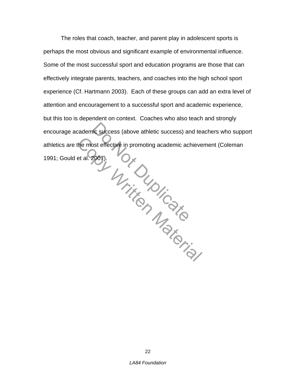nic success (above athletic success) are<br>bet effective in promoting academic act<br>2007). the most effective in promoting academic achieve<br>et al. 2007).<br>
Contract Material Control is a proper control of the Material Control of the Control of the Control of the Control of the Control of the Control of the Contro The roles that coach, teacher, and parent play in adolescent sports is perhaps the most obvious and significant example of environmental influence. Some of the most successful sport and education programs are those that can effectively integrate parents, teachers, and coaches into the high school sport experience (Cf. Hartmann 2003). Each of these groups can add an extra level of attention and encouragement to a successful sport and academic experience, but this too is dependent on context. Coaches who also teach and strongly encourage academic success (above athletic success) and teachers who support athletics are the most effective in promoting academic achievement (Coleman 1991; Gould et al. 2007).

22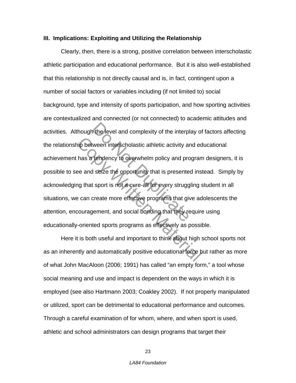## **III. Implications: Exploiting and Utilizing the Relationship**

The level and complexity of the interplayer ween interscholastic athletic activity and produced interpendency to overwhelm policy and produced series the opportunity that is presented that is presented that is not a cure-a in between interscholastic athletic activity and economies and seize the opportunity that is presented insign that sport is not a cure-all for every struggling secan create more effective programs that give adcouragement, Clearly, then, there is a strong, positive correlation between interscholastic athletic participation and educational performance. But it is also well-established that this relationship is not directly causal and is, in fact, contingent upon a number of social factors or variables including (if not limited to) social background, type and intensity of sports participation, and how sporting activities are contextualized and connected (or not connected) to academic attitudes and activities. Although the level and complexity of the interplay of factors affecting the relationship between interscholastic athletic activity and educational achievement has a tendency to overwhelm policy and program designers, it is possible to see and seize the opportunity that is presented instead. Simply by acknowledging that sport is not a cure-all for every struggling student in all situations, we can create more effective programs that give adolescents the attention, encouragement, and social bonding that they require using educationally-oriented sports programs as effectively as possible.

Here it is both useful and important to think about high school sports not as an inherently and automatically positive educational force but rather as more of what John MacAloon (2006; 1991) has called "an empty form," a tool whose social meaning and use and impact is dependent on the ways in which it is employed (see also Hartmann 2003; Coakley 2002). If not properly manipulated or utilized, sport can be detrimental to educational performance and outcomes. Through a careful examination of for whom, where, and when sport is used, athletic and school administrators can design programs that target their

23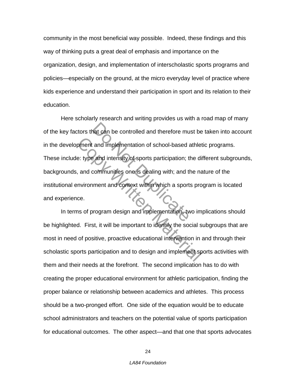community in the most beneficial way possible. Indeed, these findings and this way of thinking puts a great deal of emphasis and importance on the organization, design, and implementation of interscholastic sports programs and policies—especially on the ground, at the micro everyday level of practice where kids experience and understand their participation in sport and its relation to their education.

Nat can be controlled and therefore mu<br>
and implementation of school-based<br>
and intensity of sports participation; the<br>
communities one is dealing with; and the<br>
implement and context within which a sport<br>
or or or the spo Franchise and implementation of school-based athlet<br>
Franchise and intensity of sports participation; the dividends and communities one is dealing with; and the na<br>
morrisonment and context within which a sports pro<br>
Conte Here scholarly research and writing provides us with a road map of many of the key factors that can be controlled and therefore must be taken into account in the development and implementation of school-based athletic programs. These include: type and intensity of sports participation; the different subgrounds, backgrounds, and communities one is dealing with; and the nature of the institutional environment and context within which a sports program is located and experience.

 In terms of program design and implementation, two implications should be highlighted. First, it will be important to identify the social subgroups that are most in need of positive, proactive educational intervention in and through their scholastic sports participation and to design and implement sports activities with them and their needs at the forefront. The second implication has to do with creating the proper educational environment for athletic participation, finding the proper balance or relationship between academics and athletes. This process should be a two-pronged effort. One side of the equation would be to educate school administrators and teachers on the potential value of sports participation for educational outcomes. The other aspect—and that one that sports advocates

24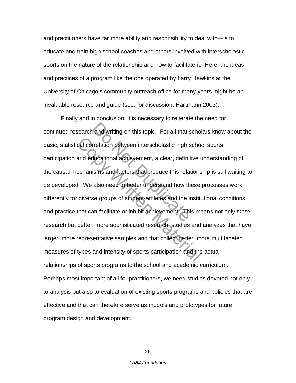and practitioners have far more ability and responsibility to deal with—is to educate and train high school coaches and others involved with interscholastic sports on the nature of the relationship and how to facilitate it. Here, the ideas and practices of a program like the one operated by Larry Hawkins at the University of Chicago's community outreach office for many years might be an invaluable resource and guide (see, for discussion, Hartmann 2003).

and writing on this topic. For all that s<br>rrelation between interscholastic high s<br>ducational achievement, a clear, definit<br>isms and factors that produce this rela<br>also need to better understand how the<br>se groups of studen Concellation between interscholastic high schoomed and educational achievement, a clear, definitive uncellantisms and factors that produce this relations<br>1. We also need to better understand how these diverse groups of stu Finally and in conclusion, it is necessary to reiterate the need for continued research and writing on this topic. For all that scholars know about the basic, statistical correlation between interscholastic high school sports participation and educational achievement, a clear, definitive understanding of the causal mechanisms and factors that produce this relationship is still waiting to be developed. We also need to better understand how these processes work differently for diverse groups of student-athletes and the institutional conditions and practice that can facilitate or inhibit achievement. This means not only *more* research but better, more sophisticated research: studies and analyzes that have larger, more representative samples and that collect better, more multifaceted measures of types and intensity of sports participation and the actual relationships of sports programs to the school and academic curriculum. Perhaps most important of all for practitioners, we need studies devoted not only to analysis but also to evaluation of existing sports programs and policies that are effective and that can therefore serve as models and prototypes for future program design and development.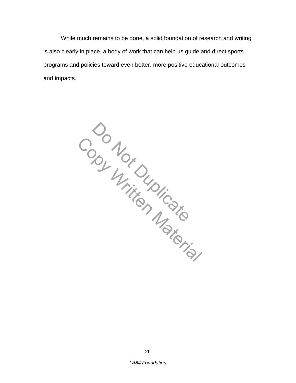While much remains to be done, a solid foundation of research and writing is also clearly in place, a body of work that can help us guide and direct sports programs and policies toward even better, more positive educational outcomes and impacts.

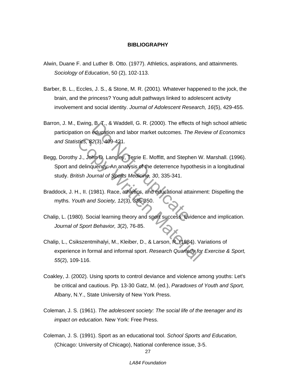### **BIBLIOGRAPHY**

- Alwin, Duane F. and Luther B. Otto. (1977). Athletics, aspirations, and attainments. *Sociology of Education*, 50 (2), 102-113.
- Barber, B. L., Eccles, J. S., & Stone, M. R. (2001). Whatever happened to the jock, the brain, and the princess? Young adult pathways linked to adolescent activity involvement and social identity. *Journal of Adolescent Research, 16*(5), 429-455.
- Barron, J. M., Ewing, B. T., & Waddell, G. R. (2000). The effects of high school athletic participation on education and labor market outcomes. *The Review of Economics and Statistics, 82*(3), 409-421.
- B. I., & Waddell, G. R. (2000). The effect<br>education and labor market outcomes. Th<br>2(3), 409-421.<br>An D. Langley, Terrie E. Moffitt, and Steph<br>quency: An analysis of the deterrence hype<br>urnal of Sports Medicine, 30, 335-341 Stics, 82(3), 409-421.<br>
J., John D. Langley, Terrie E. Moffitt, and Stephen W<br>
delinquency: An analysis of the deterrence hypothes<br>
tish Journal of Sports Medicine, 30, 335-341.<br>
H., II. (1981). Race, athletics, and educat Begg, Dorothy J., John D. Langley, Terrie E. Moffitt, and Stephen W. Marshall. (1996). Sport and delinquency: An analysis of the deterrence hypothesis in a longitudinal study. *British Journal of Sports Medicine, 30*, 335-341.
- Braddock, J. H., II. (1981). Race, athletics, and educational attainment: Dispelling the myths. *Youth and Society, 12*(3), 335-350.
- Chalip, L. (1980). Social learning theory and sport success: Evidence and implication. *Journal of Sport Behavior, 3*(2), 76-85.
- Chalip, L., Csikszentmihalyi, M., Kleiber, D., & Larson, R. (1984). Variations of experience in formal and informal sport. *Research Quarterly for Exercise & Sport, 55*(2), 109-116.
- Coakley, J. (2002). Using sports to control deviance and violence among youths: Let's be critical and cautious. Pp. 13-30 Gatz, M. (ed.), *Paradoxes of Youth and Sport,*  Albany, N.Y., State University of New York Press.
- Coleman, J. S. (1961). *The adolescent society: The social life of the teenager and its impact on education*. New York: Free Press.
- Coleman, J. S. (1991). Sport as an educational tool. *School Sports and Education,*  (Chicago: University of Chicago), National conference issue, 3-5.

27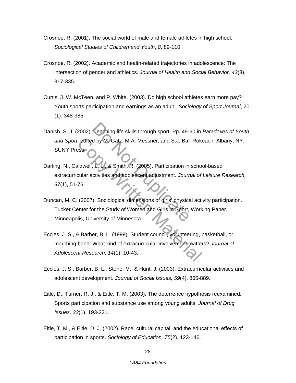- Crosnoe, R. (2001). The social world of male and female athletes in high school. *Sociological Studies of Children and Youth*, *8*, 89-110.
- Crosnoe, R. (2002). Academic and health-related trajectories in adolescence: The intersection of gender and athletics. *Journal of Health and Social Behavior, 43*(3), 317-335.
- Curtis, J. W. McTeen, and P. White. (2003). Do high school athletes earn more pay? Youth sports participation and earnings as an adult. *Sociology of Sport Journal*, 20 (1): 348-385.
- Teaching life skills through sport. Pp. 49-4<br>
d by M. Gatz, M.A. Messner, and S.J. Ball<br>
2. C. V., & Smith, R. (2005). Participation in<br>
ctivities and adolescent adjustment. Journ<br>
D. Sociological dimensions of girls physi Danish, S. J. (2002). Teaching life skills through sport. Pp. 49-60 in *Paradoxes of Youth and Sport*, edited by M. Gatz, M.A. Messner, and S.J. Ball-Rokeach. Albany, NY: SUNY Press.
- t, edited by M. Gatz, M.A. Messner, and S.J. Ball-Roke<br>
Incomes Material Control and Adolescent adjustment. Journal of<br>
T6.<br>
(2007). Sociological dimensions of girls physical activities<br>
(2007). Sociological dimensions of Darling, N., Caldwell, L. L., & Smith, R. (2005). Participation in school-based extracurricular activities and adolescent adjustment. *Journal of Leisure Research, 37*(1), 51-76.
- Duncan, M. C. (2007). Sociological dimensions of girls' physical activity participation. Tucker Center for the Study of Women and Girls in Sport, Working Paper, Minneapolis, University of Minnesota.
- Eccles, J. S., & Barber, B. L. (1999). Student council, volunteering, basketball, or marching band: What kind of extracurricular involvement matters? *Journal of Adolescent Research, 14*(1), 10-43.
- Eccles, J. S., Barber, B. L., Stone, M., & Hunt, J. (2003). Extracurricular activities and adolescent development. *Journal of Social Issues, 59*(4), 865-889.
- Eitle, D., Turner, R. J., & Eitle, T. M. (2003). The deterrence hypothesis reexamined: Sports participation and substance use among young adults. *Journal of Drug Issues, 33*(1), 193-221.
- Eitle, T. M., & Eitle, D. J. (2002). Race, cultural capital, and the educational effects of participation in sports. *Sociology of Education, 75*(2), 123-146.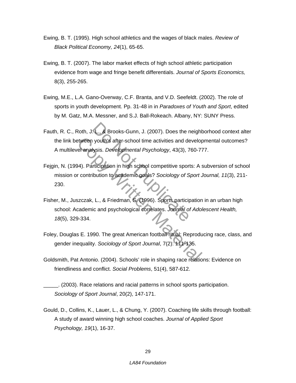- Ewing, B. T. (1995). High school athletics and the wages of black males. *Review of Black Political Economy, 24*(1), 65-65.
- Ewing, B. T. (2007). The labor market effects of high school athletic participation evidence from wage and fringe benefit differentials. *Journal of Sports Economics,*  8(3), 255-265.
- Ewing, M.E., L.A. Gano-Overway, C.F. Branta, and V.D. Seefeldt. (2002). The role of sports in youth development. Pp. 31-48 in in *Paradoxes of Youth and Sport*, edited by M. Gatz, M.A. Messner, and S.J. Ball-Rokeach. Albany, NY: SUNY Press.
- L., & Brooks-Gunn, J. (2007). Does the r<br>
youth's after-school time activities and de<br>
lysis. Developmental Psychology, 43(3), 7<br>
riticipation in high school competitive sport<br>
ibution to academic goals? Sociology of S<br>
. Fauth, R. C., Roth, J. L., & Brooks-Gunn, J. (2007). Does the neighborhood context alter the link between youth's after-school time activities and developmental outcomes? A multilevel analysis. *Developmental Psychology*, 43(3), 760-777.
- Fejgin, N. (1994). Participation in high school competitive sports: A subversion of school mission or contribution to academic goals? *Sociology of Sport Journal, 11*(3), 211- 230.
- Express youth's after-school time activities and developmental Psychology, 43(3), 760-71<br>
14). Participation in high school competitive sports: A s<br>
14). Participation in high school competitive sports: A s<br>
16). Contribut Fisher, M., Juszczak, L., & Friedman, S. (1996). Sports participation in an urban high school: Academic and psychological correlates. *Journal of Adolescent Health, 18*(5), 329-334.
- Foley, Douglas E. 1990. The great American football ritual: Reproducing race, class, and gender inequality. *Sociology of Sport Journal*, 7(2): 111-135.
- Goldsmith, Pat Antonio. (2004). Schools' role in shaping race relations: Evidence on friendliness and conflict. *Social Problems*, 51(4), 587-612.

\_\_\_\_\_. (2003). Race relations and racial patterns in school sports participation. *Sociology of Sport Journal*, 20(2), 147-171.

Gould, D., Collins, K., Lauer, L., & Chung, Y. (2007). Coaching life skills through football: A study of award winning high school coaches. *Journal of Applied Sport Psychology, 19*(1), 16-37.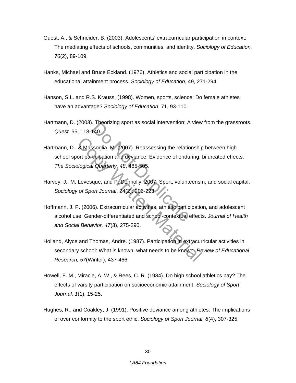- Guest, A., & Schneider, B. (2003). Adolescents' extracurricular participation in context: The mediating effects of schools, communities, and identity. *Sociology of Education, 76*(2), 89-109.
- Hanks, Michael and Bruce Eckland. (1976). Athletics and social participation in the educational attainment process. *Sociology of Education*, 49, 271-294.
- Hanson, S.L. and R.S. Krauss. (1998). Women, sports, science: Do female athletes have an advantage? *Sociology of Education*, 71, 93-110.
- Hartmann, D. (2003). Theorizing sport as social intervention: A view from the grassroots. *Quest,* 55, 118-140.
- 140.<br>
Sisoglia, M. (2007). Reassessing the relation<br>
140.<br>
Sisoglia, M. (2007). Reassessing the relation<br>
1 Quarterly, 48, 485-505.<br>
Que, and P. Donnolly. 2007. Sport, volunts<br>
1 Journal, 24(2): 206-223.<br>
6). Extracurricul 8 Massoglia, M. (2007). Reassessing the relationship<br>ort participation and deviance: Evidence of enduring,<br>plogical Quarterly, 48, 485-505.<br>Levesque, and P. Donnolly. 2007. Sport, volunteerism<br>of Sport Journal, 24(2): 206-Hartmann, D., & Massoglia, M. (2007). Reassessing the relationship between high school sport participation and deviance: Evidence of enduring, bifurcated effects. *The Sociological Quarterly, 48*, 485-505.
- Harvey, J., M. Levesque, and P. Donnolly. 2007. Sport, volunteerism, and social capital. *Sociology of Sport Journal*, 24(2): 206-223.
- Hoffmann, J. P. (2006). Extracurricular activities, athletic participation, and adolescent alcohol use: Gender-differentiated and school-contextual effects. *Journal of Health and Social Behavior, 47*(3), 275-290.
- Holland, Alyce and Thomas, Andre. (1987). Participation in extracurricular activities in secondary school: What is known, what needs to be known. *Review of Educational Research, 57*(Winter), 437-466.
- Howell, F. M., Miracle, A. W., & Rees, C. R. (1984). Do high school athletics pay? The effects of varsity participation on socioeconomic attainment. *Sociology of Sport Journal, 1*(1), 15-25.
- Hughes, R., and Coakley, J. (1991). Positive deviance among athletes: The implications of over conformity to the sport ethic. *Sociology of Sport Journal, 8*(4), 307-325.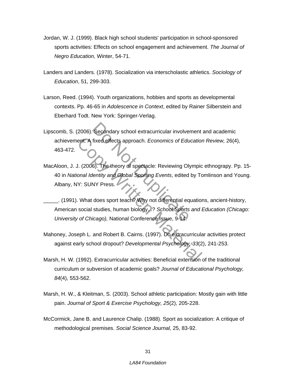- Jordan, W. J. (1999). Black high school students' participation in school-sponsored sports activities: Effects on school engagement and achievement. *The Journal of Negro Education,* Winter, 54-71.
- Landers and Landers. (1978). Socialization via interscholastic athletics. *Sociology of Education*, 51, 299-303.
- Larson, Reed. (1994). Youth organizations, hobbies and sports as developmental contexts. Pp. 46-65 in *Adolescence in Context*, edited by Rainer Silberstein and Eberhard Todt. New York: Springer-Verlag.
- Secondary school extracurricular involver<br>fixed effects approach. *Economics of Edu*<br>06. The theory of spectacle: Reviewing Oly<br>16. The theory of spectacle: Reviewing Oly<br>16. Henrify and Global Sporting Events, edited<br>17. Lipscomb, S. (2006). Secondary school extracurricular involvement and academic achievement: A fixed effects approach. *Economics of Education Review,* 26(4), 463-472.
- ent. A fixed effects approach. *Economics of Education*<br>
U. (2006). The theory of spectacle: Reviewing Olympic<br>
Onal Identity and Global Sporting Events, edited by Tc<br>
Y: SUNY Press.<br>
What does sport teach? Why not differe MacAloon, J. J. (2006). The theory of spectacle: Reviewing Olympic ethnograpy. Pp. 15- 40 in *National Identity and Global Sporting Events*, edited by Tomlinson and Young. Albany, NY: SUNY Press.

\_\_\_\_\_. (1991). What does sport teach? Why not differential equations, ancient-history, American social studies, human biology...? *School Sports and Education (Chicago: University of Chicago),* National Conference Issue, 9-14.

- Mahoney, Joseph L. and Robert B. Cairns. (1997). Do extracurricular activities protect against early school dropout? *Developmental Psychology, 33*(2), 241-253.
- Marsh, H. W. (1992). Extracurricular activities: Beneficial extension of the traditional curriculum or subversion of academic goals? *Journal of Educational Psychology, 84*(4), 553-562.
- Marsh, H. W., & Kleitman, S. (2003). School athletic participation: Mostly gain with little pain. *Journal of Sport & Exercise Psychology, 25*(2), 205-228.
- McCormick, Jane B. and Laurence Chalip. (1988). Sport as socialization: A critique of methodological premises. *Social Science Journal,* 25, 83-92.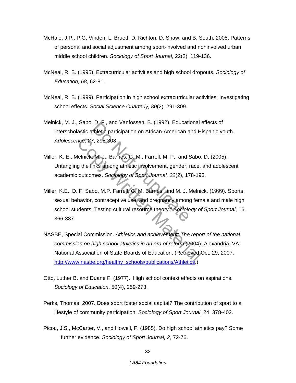- McHale, J.P., P.G. Vinden, L. Bruett, D. Richton, D. Shaw, and B. South. 2005. Patterns of personal and social adjustment among sport-involved and noninvolved urban middle school children. *Sociology of Sport Journal*, 22(2), 119-136.
- McNeal, R. B. (1995). Extracurricular activities and high school dropouts. *Sociology of Education, 68*, 62-81.
- McNeal, R. B. (1999). Participation in high school extracurricular activities: Investigating school effects. *Social Science Quarterly, 80*(2), 291-309.
- Melnick, M. J., Sabo, D. F., and Vanfossen, B. (1992). Educational effects of interscholastic athletic participation on African-American and Hispanic youth. *Adolescence, 27*, 295-308.
- Miller, K. E., Melnick, M. J., Barnes, G. M., Farrell, M. P., and Sabo, D. (2005). Untangling the links among athletic involvement, gender, race, and adolescent academic outcomes. *Sociology of Sport Journal, 22*(2), 178-193.
- D. F., and varilossen, B. (1992). Education<br>thletic participation on African-American a<br>7, 295-308.<br>M.J., Barnes, G. M., Farrell, M. P., and S.<br>mes. Sociology of Sport Journal, 22(2), 17<br>bo, M.P. Farrell, G. M. Barnes, and noe, 27, 295-308.<br>
Ielnick, M.J., Barnes, G. M., Farrell, M. P., and Sabo,<br>
g the links among athletic involvement, gender, race,<br>
outcomes. Sociology of Sport Journal, 22(2), 178-19:<br>
F. Sabo, M.P. Farrell, G. M. Barnes, Miller, K.E., D. F. Sabo, M.P. Farrell, G. M. Barnes, and M. J. Melnick. (1999). Sports, sexual behavior, contraceptive use, and pregnancy among female and male high school students: Testing cultural resource theory." *Sociology of Sport Journal*, 16, 366-387.
- NASBE, Special Commission. *Athletics and achievement: The report of the national commission on high school athletics in an era of reform* (2004). Alexandria, VA: National Association of State Boards of Education. (Retrieved Oct. 29, 2007, http://www.nasbe.org/healthy\_schools/publications/Athletics.)
- Otto, Luther B. and Duane F. (1977). High school context effects on aspirations. *Sociology of Education*, 50(4), 259-273.
- Perks, Thomas. 2007. Does sport foster social capital? The contribution of sport to a lifestyle of community participation. *Sociology of Sport Journal*, 24, 378-402.
- Picou, J.S., McCarter, V., and Howell, F. (1985). Do high school athletics pay? Some further evidence. *Sociology of Sport Journal, 2*, 72-76.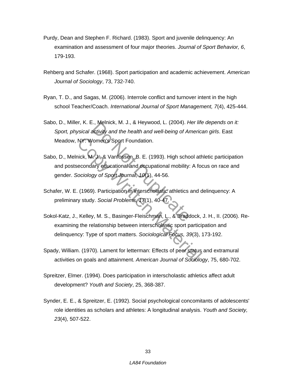- Purdy, Dean and Stephen F. Richard. (1983). Sport and juvenile delinquency: An examination and assessment of four major theories. *Journal of Sport Behavior, 6*, 179-193.
- Rehberg and Schafer. (1968). Sport participation and academic achievement. *American Journal of Sociology*, 73, 732-740.
- Ryan, T. D., and Sagas, M. (2006). Interrole conflict and turnover intent in the high school Teacher/Coach. *International Journal of Sport Management, 7*(4), 425-444.
- Sabo, D., Miller, K. E., Melnick, M. J., & Heywood, L. (2004). *Her life depends on it: Sport, physical activity and the health and well-being of American girls*. East Meadow, NY: Women's Sport Foundation.
- I., Wellick, M. J., & Heywood, L. (2004). Pactivity and the health and well-being of Article<br>Promen's Sport Foundation.<br>Domen's Sport Foundation.<br>The Note of Article Sport Journal, 10(1), 44-56.<br>Do Not Durnal, 10(1), 44-56 NY: Women's Sport Foundation.<br>
nick, M.J., & Vanfossen, B. E. (1993). High school att<br>
econdary educational and occupational mobility: A for<br>
cociology of Sport Journal, 10(1), 44-56.<br>
(1969). Participation in interscholas Sabo, D., Melnick, M. J., & Vanfossen, B. E. (1993). High school athletic participation and postsecondary educational and occupational mobility: A focus on race and gender. *Sociology of Sport Journal, 10*(1), 44-56.
- Schafer, W. E. (1969). Participation in interscholastic athletics and delinquency: A preliminary study. *Social Problems, 17*(1), 40-47.
- Sokol-Katz, J., Kelley, M. S., Basinger-Fleischman, L., & Braddock, J. H., II. (2006). Reexamining the relationship between interscholastic sport participation and delinquency: Type of sport matters. *Sociological Focus, 39*(3), 173-192.
- Spady, William. (1970). Lament for letterman: Effects of peer status and extramural activities on goals and attainment. *American Journal of Sociology*, 75, 680-702.
- Spreitzer, Elmer. (1994). Does participation in interscholastic athletics affect adult development? *Youth and Society*, 25, 368-387.
- Synder, E. E., & Spreitzer, E. (1992). Social psychological concomitants of adolescents' role identities as scholars and athletes: A longitudinal analysis. *Youth and Society, 23*(4), 507-522.